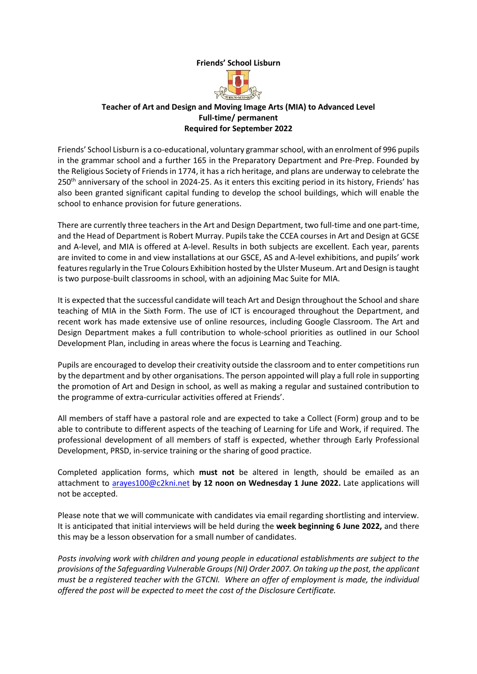#### **Friends' School Lisburn**



#### **Teacher of Art and Design and Moving Image Arts (MIA) to Advanced Level Full-time/ permanent Required for September 2022**

Friends' School Lisburn is a co-educational, voluntary grammar school, with an enrolment of 996 pupils in the grammar school and a further 165 in the Preparatory Department and Pre-Prep. Founded by the Religious Society of Friends in 1774, it has a rich heritage, and plans are underway to celebrate the 250<sup>th</sup> anniversary of the school in 2024-25. As it enters this exciting period in its history, Friends' has also been granted significant capital funding to develop the school buildings, which will enable the school to enhance provision for future generations.

There are currently three teachers in the Art and Design Department, two full-time and one part-time, and the Head of Department is Robert Murray. Pupils take the CCEA courses in Art and Design at GCSE and A-level, and MIA is offered at A-level. Results in both subjects are excellent. Each year, parents are invited to come in and view installations at our GSCE, AS and A-level exhibitions, and pupils' work features regularly in the True Colours Exhibition hosted by the Ulster Museum. Art and Design is taught is two purpose-built classrooms in school, with an adjoining Mac Suite for MIA.

It is expected that the successful candidate will teach Art and Design throughout the School and share teaching of MIA in the Sixth Form. The use of ICT is encouraged throughout the Department, and recent work has made extensive use of online resources, including Google Classroom. The Art and Design Department makes a full contribution to whole-school priorities as outlined in our School Development Plan, including in areas where the focus is Learning and Teaching.

Pupils are encouraged to develop their creativity outside the classroom and to enter competitions run by the department and by other organisations. The person appointed will play a full role in supporting the promotion of Art and Design in school, as well as making a regular and sustained contribution to the programme of extra-curricular activities offered at Friends'.

All members of staff have a pastoral role and are expected to take a Collect (Form) group and to be able to contribute to different aspects of the teaching of Learning for Life and Work, if required. The professional development of all members of staff is expected, whether through Early Professional Development, PRSD, in-service training or the sharing of good practice.

Completed application forms, which **must not** be altered in length, should be emailed as an attachment to [arayes100@c2kni.net](mailto:arayes100@c2kni.net) **by 12 noon on Wednesday 1 June 2022.** Late applications will not be accepted.

Please note that we will communicate with candidates via email regarding shortlisting and interview. It is anticipated that initial interviews will be held during the **week beginning 6 June 2022,** and there this may be a lesson observation for a small number of candidates.

*Posts involving work with children and young people in educational establishments are subject to the provisions of the Safeguarding Vulnerable Groups (NI) Order 2007. On taking up the post, the applicant must be a registered teacher with the GTCNI. Where an offer of employment is made, the individual offered the post will be expected to meet the cost of the Disclosure Certificate.*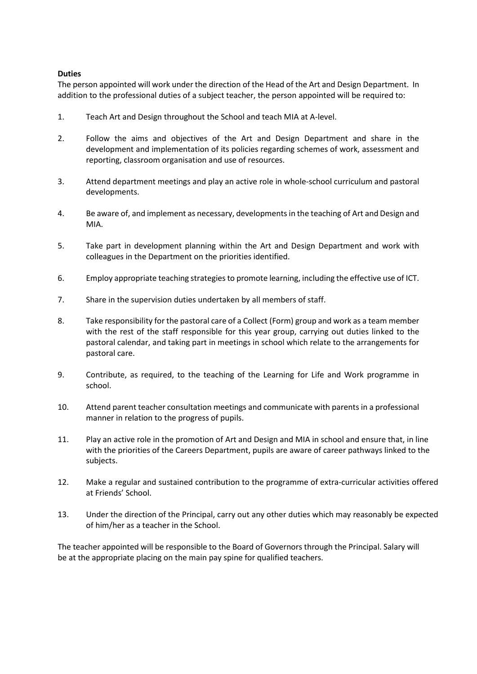#### **Duties**

The person appointed will work under the direction of the Head of the Art and Design Department. In addition to the professional duties of a subject teacher, the person appointed will be required to:

- 1. Teach Art and Design throughout the School and teach MIA at A-level.
- 2. Follow the aims and objectives of the Art and Design Department and share in the development and implementation of its policies regarding schemes of work, assessment and reporting, classroom organisation and use of resources.
- 3. Attend department meetings and play an active role in whole-school curriculum and pastoral developments.
- 4. Be aware of, and implement as necessary, developments in the teaching of Art and Design and MIA.
- 5. Take part in development planning within the Art and Design Department and work with colleagues in the Department on the priorities identified.
- 6. Employ appropriate teaching strategies to promote learning, including the effective use of ICT.
- 7. Share in the supervision duties undertaken by all members of staff.
- 8. Take responsibility for the pastoral care of a Collect (Form) group and work as a team member with the rest of the staff responsible for this year group, carrying out duties linked to the pastoral calendar, and taking part in meetings in school which relate to the arrangements for pastoral care.
- 9. Contribute, as required, to the teaching of the Learning for Life and Work programme in school.
- 10. Attend parent teacher consultation meetings and communicate with parents in a professional manner in relation to the progress of pupils.
- 11. Play an active role in the promotion of Art and Design and MIA in school and ensure that, in line with the priorities of the Careers Department, pupils are aware of career pathways linked to the subjects.
- 12. Make a regular and sustained contribution to the programme of extra-curricular activities offered at Friends' School.
- 13. Under the direction of the Principal, carry out any other duties which may reasonably be expected of him/her as a teacher in the School.

The teacher appointed will be responsible to the Board of Governors through the Principal. Salary will be at the appropriate placing on the main pay spine for qualified teachers.